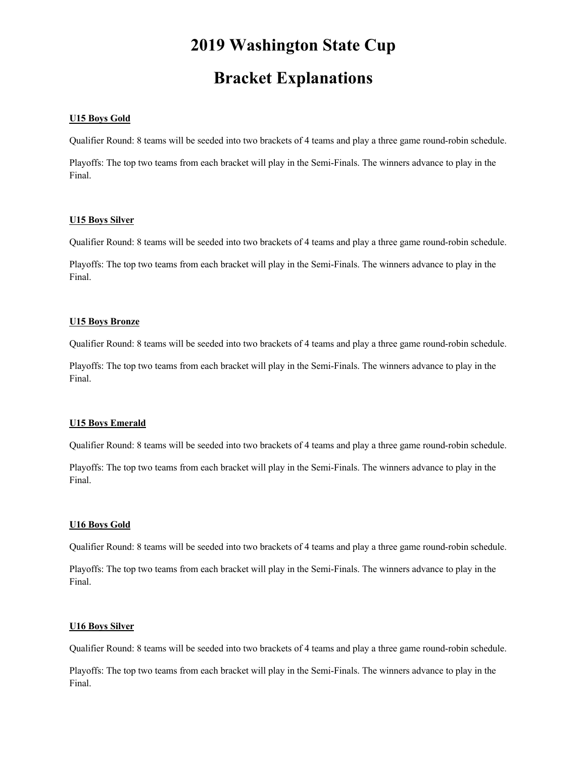# **2019 Washington State Cup**

## **Bracket Explanations**

#### **U15 Boys Gold**

Qualifier Round: 8 teams will be seeded into two brackets of 4 teams and play a three game round-robin schedule.

Playoffs: The top two teams from each bracket will play in the Semi-Finals. The winners advance to play in the Final.

#### **U15 Boys Silver**

Qualifier Round: 8 teams will be seeded into two brackets of 4 teams and play a three game round-robin schedule.

Playoffs: The top two teams from each bracket will play in the Semi-Finals. The winners advance to play in the Final.

### **U15 Boys Bronze**

Qualifier Round: 8 teams will be seeded into two brackets of 4 teams and play a three game round-robin schedule.

Playoffs: The top two teams from each bracket will play in the Semi-Finals. The winners advance to play in the Final.

#### **U15 Boys Emerald**

Qualifier Round: 8 teams will be seeded into two brackets of 4 teams and play a three game round-robin schedule.

Playoffs: The top two teams from each bracket will play in the Semi-Finals. The winners advance to play in the Final.

#### **U16 Boys Gold**

Qualifier Round: 8 teams will be seeded into two brackets of 4 teams and play a three game round-robin schedule.

Playoffs: The top two teams from each bracket will play in the Semi-Finals. The winners advance to play in the Final.

#### **U16 Boys Silver**

Qualifier Round: 8 teams will be seeded into two brackets of 4 teams and play a three game round-robin schedule.

Playoffs: The top two teams from each bracket will play in the Semi-Finals. The winners advance to play in the Final.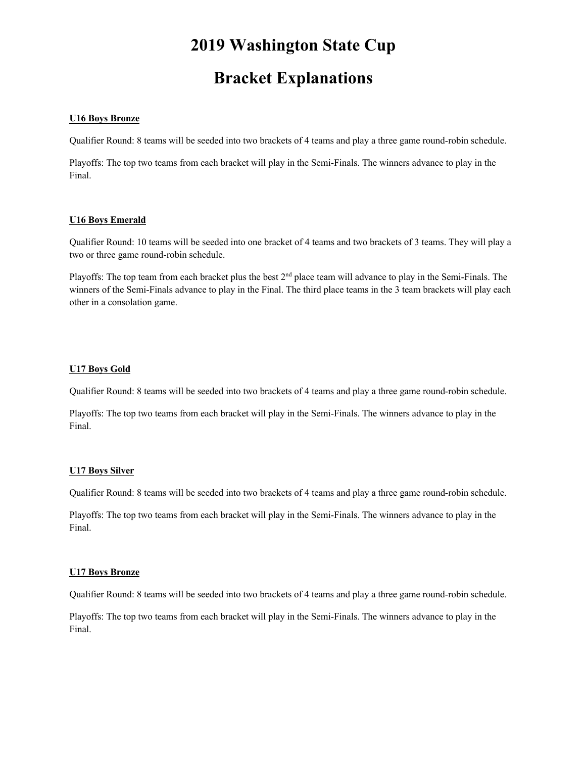# **2019 Washington State Cup**

## **Bracket Explanations**

### **U16 Boys Bronze**

Qualifier Round: 8 teams will be seeded into two brackets of 4 teams and play a three game round-robin schedule.

Playoffs: The top two teams from each bracket will play in the Semi-Finals. The winners advance to play in the Final.

#### **U16 Boys Emerald**

Qualifier Round: 10 teams will be seeded into one bracket of 4 teams and two brackets of 3 teams. They will play a two or three game round-robin schedule.

Playoffs: The top team from each bracket plus the best 2<sup>nd</sup> place team will advance to play in the Semi-Finals. The winners of the Semi-Finals advance to play in the Final. The third place teams in the 3 team brackets will play each other in a consolation game.

### **U17 Boys Gold**

Qualifier Round: 8 teams will be seeded into two brackets of 4 teams and play a three game round-robin schedule.

Playoffs: The top two teams from each bracket will play in the Semi-Finals. The winners advance to play in the Final.

## **U17 Boys Silver**

Qualifier Round: 8 teams will be seeded into two brackets of 4 teams and play a three game round-robin schedule.

Playoffs: The top two teams from each bracket will play in the Semi-Finals. The winners advance to play in the Final.

#### **U17 Boys Bronze**

Qualifier Round: 8 teams will be seeded into two brackets of 4 teams and play a three game round-robin schedule.

Playoffs: The top two teams from each bracket will play in the Semi-Finals. The winners advance to play in the Final.